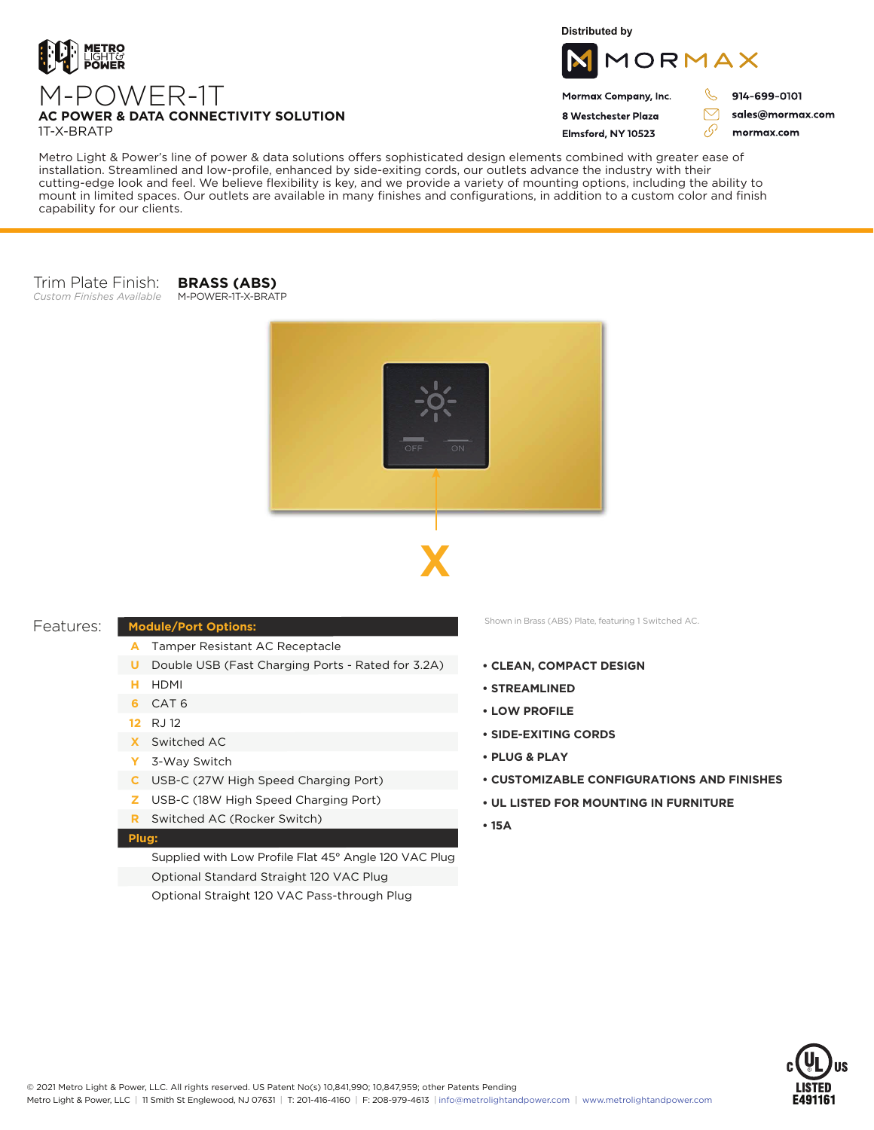

M-POWER-1T

**Distributed by**



## Mormax Company, Inc. 8 Westchester Plaza

Elmsford, NY 10523

914-699-0101

J

 $\bigtriangledown$ 

76

sales@mormax.com mormax.com

**AC POWER & DATA CONNECTIVITY SOLUTION** 1T-X-BRATP

Metro Light & Power's line of power & data solutions offers sophisticated design elements combined with greater ease of installation. Streamlined and low-profile, enhanced by side-exiting cords, our outlets advance the industry with their cutting-edge look and feel. We believe flexibility is key, and we provide a variety of mounting options, including the ability to mount in limited spaces. Our outlets are available in many finishes and configurations, in addition to a custom color and finish capability for our clients.

#### Trim Plate Finish: *Custom Finishes Available* M-POWER-1T-X-BRATP

**BRASS (ABS)**





## Features:

- **Module/Port Options:**
	- Tamper Resistant AC Receptacle **A**
	- **U** Double USB (Fast Charging Ports Rated for 3.2A)
	- HDMI **H**
	- CAT 6 **6**
	- RJ 12 **12**
	- Switched AC **X**
	- 3-Way Switch **Y**
	- USB-C (27W High Speed Charging Port) **C**
	- USB-C (18W High Speed Charging Port) **Z**
	- Switched AC (Rocker Switch) **R**

## **Plug:**

Supplied with Low Profile Flat 45° Angle 120 VAC Plug Optional Standard Straight 120 VAC Plug Optional Straight 120 VAC Pass-through Plug

Shown in Brass (ABS) Plate, featuring 1 Switched AC.

- **CLEAN, COMPACT DESIGN**
- **STREAMLINED**
- **LOW PROFILE**
- **SIDE-EXITING CORDS**
- **PLUG & PLAY**
- **CUSTOMIZABLE CONFIGURATIONS AND FINISHES**
- **UL LISTED FOR MOUNTING IN FURNITURE**
- **15A**